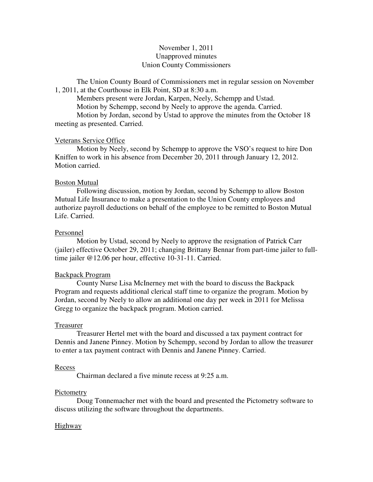# November 1, 2011 Unapproved minutes Union County Commissioners

The Union County Board of Commissioners met in regular session on November 1, 2011, at the Courthouse in Elk Point, SD at 8:30 a.m.

 Members present were Jordan, Karpen, Neely, Schempp and Ustad. Motion by Schempp, second by Neely to approve the agenda. Carried. Motion by Jordan, second by Ustad to approve the minutes from the October 18 meeting as presented. Carried.

#### Veterans Service Office

 Motion by Neely, second by Schempp to approve the VSO's request to hire Don Kniffen to work in his absence from December 20, 2011 through January 12, 2012. Motion carried.

#### Boston Mutual

 Following discussion, motion by Jordan, second by Schempp to allow Boston Mutual Life Insurance to make a presentation to the Union County employees and authorize payroll deductions on behalf of the employee to be remitted to Boston Mutual Life. Carried.

#### Personnel

 Motion by Ustad, second by Neely to approve the resignation of Patrick Carr (jailer) effective October 29, 2011; changing Brittany Bennar from part-time jailer to fulltime jailer @12.06 per hour, effective 10-31-11. Carried.

### Backpack Program

 County Nurse Lisa McInerney met with the board to discuss the Backpack Program and requests additional clerical staff time to organize the program. Motion by Jordan, second by Neely to allow an additional one day per week in 2011 for Melissa Gregg to organize the backpack program. Motion carried.

#### Treasurer

 Treasurer Hertel met with the board and discussed a tax payment contract for Dennis and Janene Pinney. Motion by Schempp, second by Jordan to allow the treasurer to enter a tax payment contract with Dennis and Janene Pinney. Carried.

#### Recess

Chairman declared a five minute recess at 9:25 a.m.

#### Pictometry

 Doug Tonnemacher met with the board and presented the Pictometry software to discuss utilizing the software throughout the departments.

### Highway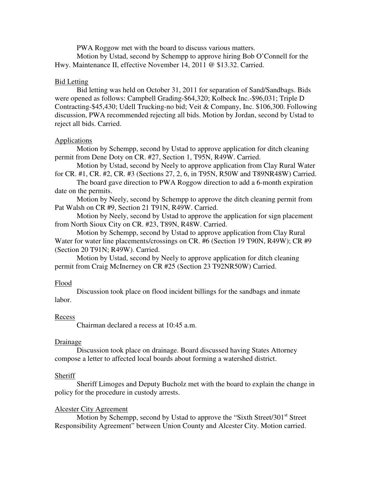PWA Roggow met with the board to discuss various matters.

 Motion by Ustad, second by Schempp to approve hiring Bob O'Connell for the Hwy. Maintenance II, effective November 14, 2011 @ \$13.32. Carried.

### Bid Letting

 Bid letting was held on October 31, 2011 for separation of Sand/Sandbags. Bids were opened as follows: Campbell Grading-\$64,320; Kolbeck Inc.-\$96,031; Triple D Contracting-\$45,430; Udell Trucking-no bid; Veit & Company, Inc. \$106,300. Following discussion, PWA recommended rejecting all bids. Motion by Jordan, second by Ustad to reject all bids. Carried.

### **Applications**

 Motion by Schempp, second by Ustad to approve application for ditch cleaning permit from Dene Doty on CR. #27, Section 1, T95N, R49W. Carried.

Motion by Ustad, second by Neely to approve application from Clay Rural Water for CR. #1, CR. #2, CR. #3 (Sections 27, 2, 6, in T95N, R50W and T89NR48W) Carried.

The board gave direction to PWA Roggow direction to add a 6-month expiration date on the permits.

 Motion by Neely, second by Schempp to approve the ditch cleaning permit from Pat Walsh on CR #9, Section 21 T91N, R49W. Carried.

Motion by Neely, second by Ustad to approve the application for sign placement from North Sioux City on CR. #23, T89N, R48W. Carried.

Motion by Schempp, second by Ustad to approve application from Clay Rural Water for water line placements/crossings on CR. #6 (Section 19 T90N, R49W); CR #9 (Section 20 T91N; R49W). Carried.

Motion by Ustad, second by Neely to approve application for ditch cleaning permit from Craig McInerney on CR #25 (Section 23 T92NR50W) Carried.

### Flood

 Discussion took place on flood incident billings for the sandbags and inmate labor.

# Recess

Chairman declared a recess at 10:45 a.m.

### Drainage

 Discussion took place on drainage. Board discussed having States Attorney compose a letter to affected local boards about forming a watershed district.

# **Sheriff**

 Sheriff Limoges and Deputy Bucholz met with the board to explain the change in policy for the procedure in custody arrests.

# Alcester City Agreement

Motion by Schempp, second by Ustad to approve the "Sixth Street/301<sup>st</sup> Street Responsibility Agreement" between Union County and Alcester City. Motion carried.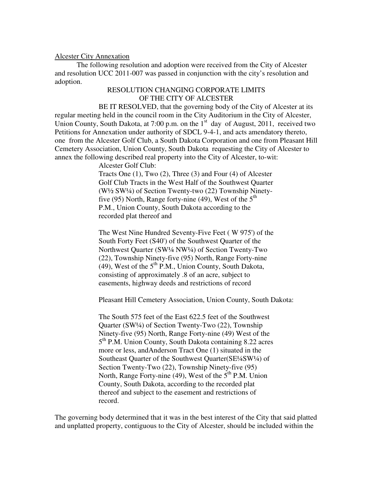### Alcester City Annexation

 The following resolution and adoption were received from the City of Alcester and resolution UCC 2011-007 was passed in conjunction with the city's resolution and adoption.

# RESOLUTION CHANGING CORPORATE LIMITS OF THE CITY OF ALCESTER

 BE IT RESOLVED, that the governing body of the City of Alcester at its regular meeting held in the council room in the City Auditorium in the City of Alcester, Union County, South Dakota, at 7:00 p.m. on the  $1<sup>st</sup>$  day of August, 2011, received two Petitions for Annexation under authority of SDCL 9-4-1, and acts amendatory thereto, one from the Alcester Golf Club, a South Dakota Corporation and one from Pleasant Hill Cemetery Association, Union County, South Dakota requesting the City of Alcester to annex the following described real property into the City of Alcester, to-wit:

Alcester Golf Club:

Tracts One (1), Two (2), Three (3) and Four (4) of Alcester Golf Club Tracts in the West Half of the Southwest Quarter (W½ SW¼) of Section Twenty-two (22) Township Ninetyfive (95) North, Range forty-nine (49), West of the  $5<sup>th</sup>$ P.M., Union County, South Dakota according to the recorded plat thereof and

The West Nine Hundred Seventy-Five Feet ( W 975') of the South Forty Feet (S40') of the Southwest Quarter of the Northwest Quarter (SW¼ NW¼) of Section Twenty-Two (22), Township Ninety-five (95) North, Range Forty-nine (49), West of the  $5<sup>th</sup>$  P.M., Union County, South Dakota, consisting of approximately .8 of an acre, subject to easements, highway deeds and restrictions of record

Pleasant Hill Cemetery Association, Union County, South Dakota:

The South 575 feet of the East 622.5 feet of the Southwest Quarter (SW¼) of Section Twenty-Two (22), Township Ninety-five (95) North, Range Forty-nine (49) West of the 5<sup>th</sup> P.M. Union County, South Dakota containing 8.22 acres more or less, andAnderson Tract One (1) situated in the Southeast Quarter of the Southwest Quarter(SE<sup>1</sup>/<sub>4</sub>SW<sup>1</sup>/<sub>4</sub>) of Section Twenty-Two (22), Township Ninety-five (95) North, Range Forty-nine (49), West of the  $5<sup>th</sup>$  P.M. Union County, South Dakota, according to the recorded plat thereof and subject to the easement and restrictions of record.

The governing body determined that it was in the best interest of the City that said platted and unplatted property, contiguous to the City of Alcester, should be included within the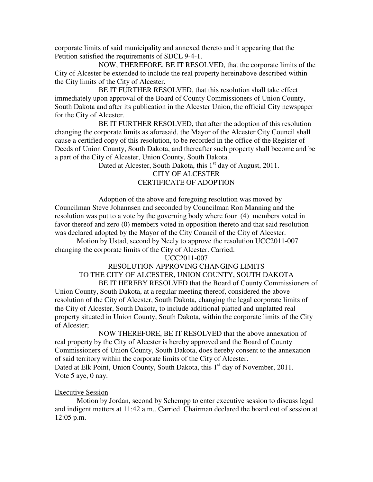corporate limits of said municipality and annexed thereto and it appearing that the Petition satisfied the requirements of SDCL 9-4-1.

 NOW, THEREFORE, BE IT RESOLVED, that the corporate limits of the City of Alcester be extended to include the real property hereinabove described within the City limits of the City of Alcester.

 BE IT FURTHER RESOLVED, that this resolution shall take effect immediately upon approval of the Board of County Commissioners of Union County, South Dakota and after its publication in the Alcester Union, the official City newspaper for the City of Alcester.

 BE IT FURTHER RESOLVED, that after the adoption of this resolution changing the corporate limits as aforesaid, the Mayor of the Alcester City Council shall cause a certified copy of this resolution, to be recorded in the office of the Register of Deeds of Union County, South Dakota, and thereafter such property shall become and be a part of the City of Alcester, Union County, South Dakota.

Dated at Alcester, South Dakota, this  $1<sup>st</sup>$  day of August, 2011.

# CITY OF ALCESTER CERTIFICATE OF ADOPTION

 Adoption of the above and foregoing resolution was moved by Councilman Steve Johannsen and seconded by Councilman Ron Manning and the resolution was put to a vote by the governing body where four (4) members voted in favor thereof and zero (0) members voted in opposition thereto and that said resolution was declared adopted by the Mayor of the City Council of the City of Alcester.

Motion by Ustad, second by Neely to approve the resolution UCC2011-007 changing the corporate limits of the City of Alcester. Carried.

### UCC2011-007

# RESOLUTION APPROVING CHANGING LIMITS TO THE CITY OF ALCESTER, UNION COUNTY, SOUTH DAKOTA

 BE IT HEREBY RESOLVED that the Board of County Commissioners of Union County, South Dakota, at a regular meeting thereof, considered the above resolution of the City of Alcester, South Dakota, changing the legal corporate limits of the City of Alcester, South Dakota, to include additional platted and unplatted real property situated in Union County, South Dakota, within the corporate limits of the City of Alcester;

 NOW THEREFORE, BE IT RESOLVED that the above annexation of real property by the City of Alcester is hereby approved and the Board of County Commissioners of Union County, South Dakota, does hereby consent to the annexation of said territory within the corporate limits of the City of Alcester. Dated at Elk Point, Union County, South Dakota, this  $1<sup>st</sup>$  day of November, 2011. Vote 5 aye, 0 nay.

# Executive Session

 Motion by Jordan, second by Schempp to enter executive session to discuss legal and indigent matters at 11:42 a.m.. Carried. Chairman declared the board out of session at 12:05 p.m.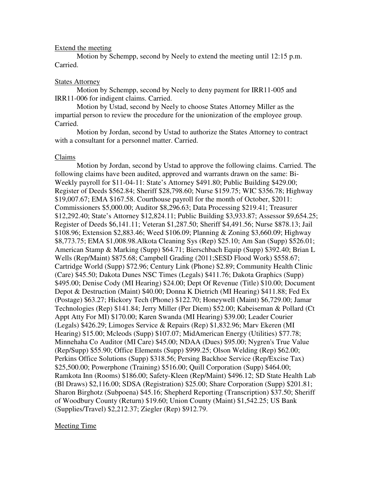### Extend the meeting

 Motion by Schempp, second by Neely to extend the meeting until 12:15 p.m. Carried.

# States Attorney

 Motion by Schempp, second by Neely to deny payment for IRR11-005 and IRR11-006 for indigent claims. Carried.

 Motion by Ustad, second by Neely to choose States Attorney Miller as the impartial person to review the procedure for the unionization of the employee group. Carried.

 Motion by Jordan, second by Ustad to authorize the States Attorney to contract with a consultant for a personnel matter. Carried.

### Claims

 Motion by Jordan, second by Ustad to approve the following claims. Carried. The following claims have been audited, approved and warrants drawn on the same: Bi-Weekly payroll for \$11-04-11: State's Attorney \$491.80; Public Building \$429.00; Register of Deeds \$562.84; Sheriff \$28,798.60; Nurse \$159.75; WIC \$356.78; Highway \$19,007.67; EMA \$167.58. Courthouse payroll for the month of October, \$2011: Commissioners \$5,000.00; Auditor \$8,296.63; Data Processing \$219.41; Treasurer \$12,292.40; State's Attorney \$12,824.11; Public Building \$3,933.87; Assessor \$9,654.25; Register of Deeds \$6,141.11; Veteran \$1,287.50; Sheriff \$4,491.56; Nurse \$878.13; Jail \$108.96; Extension \$2,883.46; Weed \$106.09; Planning & Zoning \$3,660.09; Highway \$8,773.75; EMA \$1,008.98.Alkota Cleaning Sys (Rep) \$25.10; Am San (Supp) \$526.01; American Stamp & Marking (Supp) \$64.71; Bierschbach Equip (Supp) \$392.40; Brian L Wells (Rep/Maint) \$875.68; Campbell Grading (2011;SESD Flood Work) \$558.67; Cartridge World (Supp) \$72.96; Century Link (Phone) \$2.89; Community Health Clinic (Care) \$45.50; Dakota Dunes NSC Times (Legals) \$411.76; Dakota Graphics (Supp) \$495.00; Denise Cody (MI Hearing) \$24.00; Dept Of Revenue (Title) \$10.00; Document Depot & Destruction (Maint) \$40.00; Donna K Dietrich (MI Hearing) \$411.88; Fed Ex (Postage) \$63.27; Hickory Tech (Phone) \$122.70; Honeywell (Maint) \$6,729.00; Jamar Technologies (Rep) \$141.84; Jerry Miller (Per Diem) \$52.00; Kabeiseman & Pollard (Ct Appt Atty For MI) \$170.00; Karen Swanda (MI Hearing) \$39.00; Leader Courier (Legals) \$426.29; Limoges Service & Repairs (Rep) \$1,832.96; Marv Ekeren (MI Hearing) \$15.00; Mcleods (Supp) \$107.07; MidAmerican Energy (Utilities) \$77.78; Minnehaha Co Auditor (MI Care) \$45.00; NDAA (Dues) \$95.00; Nygren's True Value (Rep/Supp) \$55.90; Office Elements (Supp) \$999.25; Olson Welding (Rep) \$62.00; Perkins Office Solutions (Supp) \$318.56; Persing Backhoe Service (Rep/Excise Tax) \$25,500.00; Powerphone (Training) \$516.00; Quill Corporation (Supp) \$464.00; Ramkota Inn (Rooms) \$186.00; Safety-Kleen (Rep/Maint) \$496.12; SD State Health Lab (Bl Draws) \$2,116.00; SDSA (Registration) \$25.00; Share Corporation (Supp) \$201.81; Sharon Birghotz (Subpoena) \$45.16; Shepherd Reporting (Transcription) \$37.50; Sheriff of Woodbury County (Return) \$19.60; Union County (Maint) \$1,542.25; US Bank (Supplies/Travel) \$2,212.37; Ziegler (Rep) \$912.79.

# Meeting Time